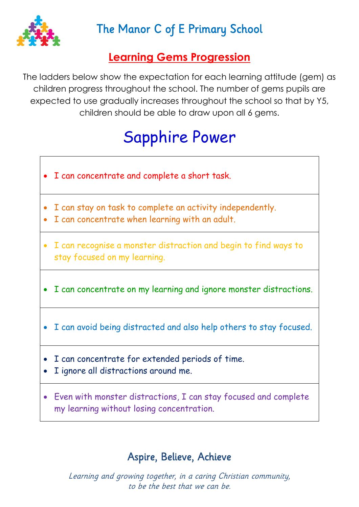

### The Manor C of E Primary School

#### **Learning Gems Progression**

The ladders below show the expectation for each learning attitude (gem) as children progress throughout the school. The number of gems pupils are expected to use gradually increases throughout the school so that by Y5, children should be able to draw upon all 6 gems.

# Sapphire Power

- I can concentrate and complete a short task.
- I can stay on task to complete an activity independently.
- I can concentrate when learning with an adult.
- I can recognise a monster distraction and begin to find ways to stay focused on my learning.
- I can concentrate on my learning and ignore monster distractions.
- I can avoid being distracted and also help others to stay focused.
- I can concentrate for extended periods of time.
- I ignore all distractions around me.
- Even with monster distractions, I can stay focused and complete my learning without losing concentration.

#### Aspire, Believe, Achieve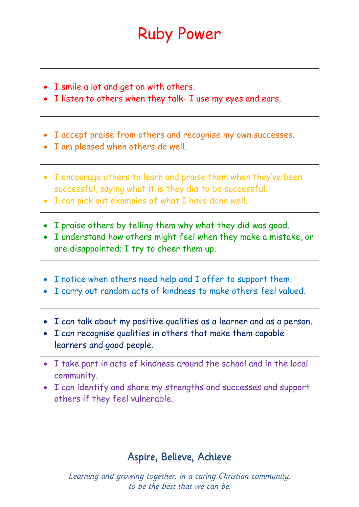# Ruby Power

- I smile a lot and get on with others.
- I listen to others when they talk- I use my eyes and ears.
- I accept praise from others and recognise my own successes.
- I am pleased when others do well.
- I encourage others to learn and praise them when they've been successful, saying what it is they did to be successful.
- I can pick out examples of what I have done well.
- I praise others by telling them why what they did was good.
- I understand how others might feel when they make a mistake, or are disappointed; I try to cheer them up.
- I notice when others need help and I offer to support them.
- I carry out random acts of kindness to make others feel valued.
- I can talk about my positive qualities as a learner and as a person.
- I can recognise qualities in others that make them capable learners and good people.
- I take part in acts of kindness around the school and in the local community.
- I can identify and share my strengths and successes and support others if they feel vulnerable.

#### Aspire, Believe, Achieve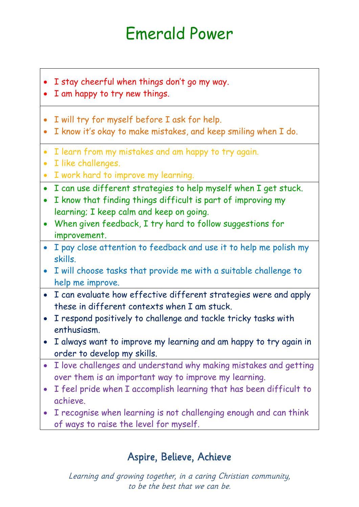# Emerald Power

- I stay cheerful when things don't go my way.
- I am happy to try new things.
- I will try for myself before I ask for help.
- I know it's okay to make mistakes, and keep smiling when I do.
- I learn from my mistakes and am happy to try again.
- I like challenges.
- I work hard to improve my learning.
- I can use different strategies to help myself when I get stuck.
- I know that finding things difficult is part of improving my learning; I keep calm and keep on going.
- When given feedback, I try hard to follow suggestions for improvement.
- I pay close attention to feedback and use it to help me polish my skills.
- I will choose tasks that provide me with a suitable challenge to help me improve.
- I can evaluate how effective different strategies were and apply these in different contexts when I am stuck.
- I respond positively to challenge and tackle tricky tasks with enthusiasm.
- I always want to improve my learning and am happy to try again in order to develop my skills.
- I love challenges and understand why making mistakes and getting over them is an important way to improve my learning.
- I feel pride when I accomplish learning that has been difficult to achieve.
- I recognise when learning is not challenging enough and can think of ways to raise the level for myself.

#### Aspire, Believe, Achieve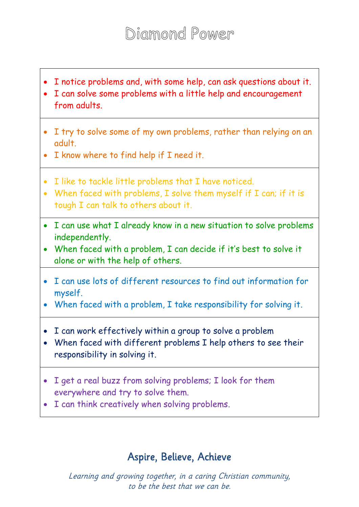- I notice problems and, with some help, can ask questions about it.
- I can solve some problems with a little help and encouragement from adults.
- I try to solve some of my own problems, rather than relying on an adult.
- I know where to find help if I need it.
- I like to tackle little problems that I have noticed.
- When faced with problems, I solve them myself if I can; if it is tough I can talk to others about it.
- I can use what I already know in a new situation to solve problems independently.
- When faced with a problem, I can decide if it's best to solve it alone or with the help of others.
- I can use lots of different resources to find out information for myself.
- When faced with a problem, I take responsibility for solving it.
- I can work effectively within a group to solve a problem
- When faced with different problems I help others to see their responsibility in solving it.
- I get a real buzz from solving problems; I look for them everywhere and try to solve them.
- I can think creatively when solving problems.

#### Aspire, Believe, Achieve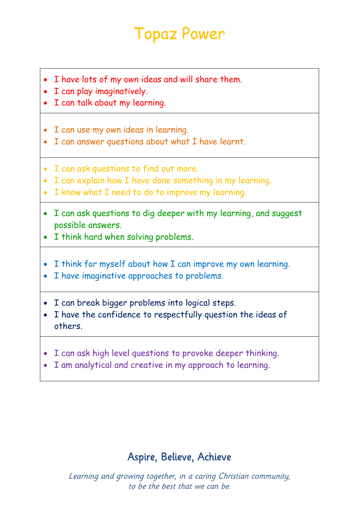## Topaz Power

- I have lots of my own ideas and will share them.
- I can play imaginatively.
- I can talk about my learning.
- I can use my own ideas in learning.
- I can answer questions about what I have learnt.
- I can ask questions to find out more.
- I can explain how I have done something in my learning.
- I know what I need to do to improve my learning.
- I can ask questions to dig deeper with my learning, and suggest possible answers.
- I think hard when solving problems.
- I think for myself about how I can improve my own learning.
- I have imaginative approaches to problems.
- I can break bigger problems into logical steps.
- I have the confidence to respectfully question the ideas of others.
- I can ask high level questions to provoke deeper thinking.
- I am analytical and creative in my approach to learning.

#### Aspire, Believe, Achieve